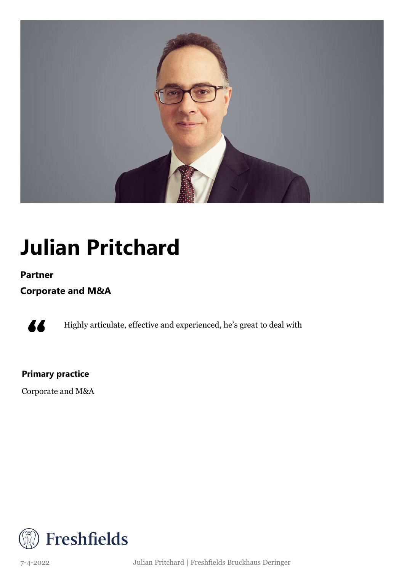

### **Julian Pritchard**

### **Partner**

**Corporate and M&A**



Highly articulate, effective and experienced, he's great to deal with

### **Primary practice**

Corporate and M&A



7-4-2022 Julian Pritchard | Freshfields Bruckhaus Deringer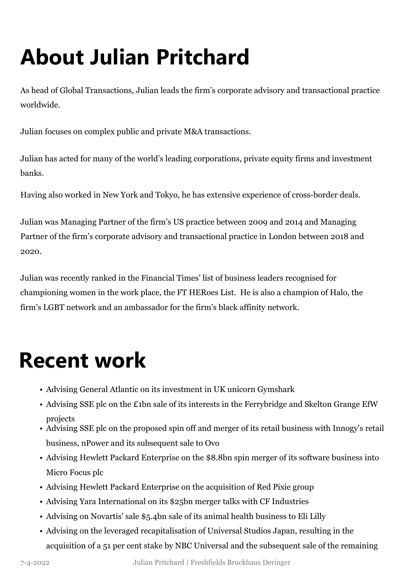# **About Julian Pritchard**

As head of Global Transactions, Julian leads the firm's corporate advisory and transactional practice worldwide.

Julian focuses on complex public and private M&A transactions.

Julian has acted for many of the world's leading corporations, private equity firms and investment banks.

Having also worked in New York and Tokyo, he has extensive experience of cross-border deals.

Julian was Managing Partner of the firm's US practice between 2009 and 2014 and Managing Partner of the firm's corporate advisory and transactional practice in London between 2018 and 2020.

Julian was recently ranked in the Financial Times' list of business leaders recognised for championing women in the work place, the FT HERoes List. He is also a champion of Halo, the firm's LGBT network and an ambassador for the firm's black affinity network.

### **Recent work**

- Advising General Atlantic on its investment in UK unicorn Gymshark
- Advising SSE plc on the £1bn sale of its interests in the Ferrybridge and Skelton Grange EfW projects
- Advising SSE plc on the proposed spin off and merger of its retail business with Innogy's retail business, nPower and its subsequent sale to Ovo
- Advising Hewlett Packard Enterprise on the \$8.8bn spin merger of its software business into Micro Focus plc
- Advising Hewlett Packard Enterprise on the acquisition of Red Pixie group
- Advising Yara International on its \$25bn merger talks with CF Industries
- Advising on Novartis' sale \$5.4bn sale of its animal health business to Eli Lilly
- Advising on the leveraged recapitalisation of Universal Studios Japan, resulting in the acquisition of a 51 per cent stake by NBC Universal and the subsequent sale of the remaining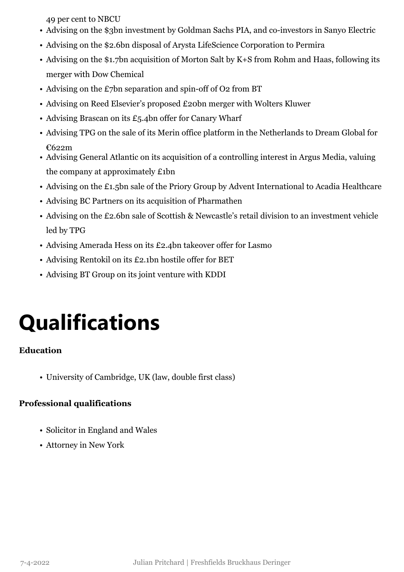49 per cent to NBCU

- Advising on the \$3bn investment by Goldman Sachs PIA, and co-investors in Sanyo Electric
- Advising on the \$2.6bn disposal of Arysta LifeScience Corporation to Permira
- Advising on the \$1.7bn acquisition of Morton Salt by K+S from Rohm and Haas, following its merger with Dow Chemical
- Advising on the £7bn separation and spin-off of O2 from BT
- Advising on Reed Elsevier's proposed £20bn merger with Wolters Kluwer
- Advising Brascan on its £5.4bn offer for Canary Wharf
- Advising TPG on the sale of its Merin office platform in the Netherlands to Dream Global for €622m
- Advising General Atlantic on its acquisition of a controlling interest in Argus Media, valuing the company at approximately £1bn
- Advising on the £1.5bn sale of the Priory Group by Advent International to Acadia Healthcare
- Advising BC Partners on its acquisition of Pharmathen
- Advising on the £2.6bn sale of Scottish & Newcastle's retail division to an investment vehicle led by TPG
- Advising Amerada Hess on its £2.4bn takeover offer for Lasmo
- Advising Rentokil on its £2.1bn hostile offer for BET
- Advising BT Group on its joint venture with KDDI

## **Qualifications**

### **Education**

• University of Cambridge, UK (law, double first class)

### **Professional qualifications**

- Solicitor in England and Wales
- Attorney in New York